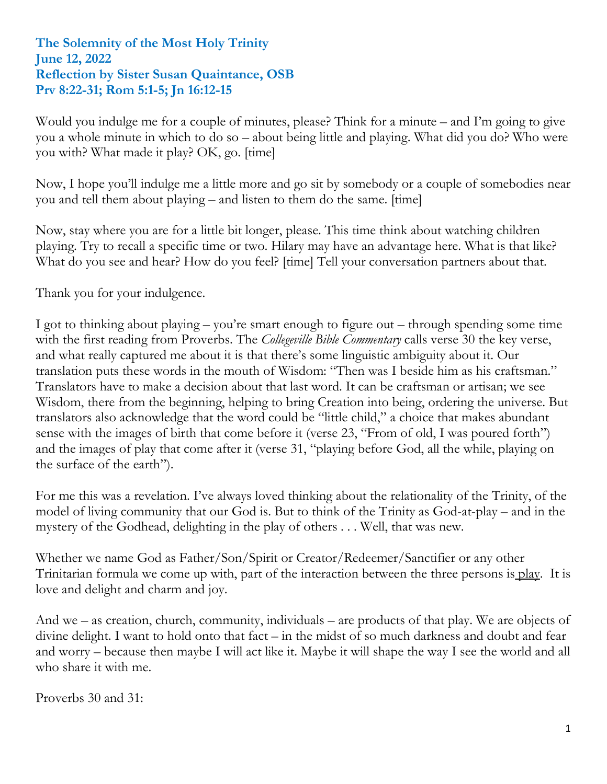## **The Solemnity of the Most Holy Trinity June 12, 2022 Reflection by Sister Susan Quaintance, OSB Prv 8:22-31; Rom 5:1-5; Jn 16:12-15**

Would you indulge me for a couple of minutes, please? Think for a minute – and I'm going to give you a whole minute in which to do so – about being little and playing. What did you do? Who were you with? What made it play? OK, go. [time]

Now, I hope you'll indulge me a little more and go sit by somebody or a couple of somebodies near you and tell them about playing – and listen to them do the same. [time]

Now, stay where you are for a little bit longer, please. This time think about watching children playing. Try to recall a specific time or two. Hilary may have an advantage here. What is that like? What do you see and hear? How do you feel? [time] Tell your conversation partners about that.

Thank you for your indulgence.

I got to thinking about playing – you're smart enough to figure out – through spending some time with the first reading from Proverbs. The *Collegeville Bible Commentary* calls verse 30 the key verse, and what really captured me about it is that there's some linguistic ambiguity about it. Our translation puts these words in the mouth of Wisdom: "Then was I beside him as his craftsman." Translators have to make a decision about that last word. It can be craftsman or artisan; we see Wisdom, there from the beginning, helping to bring Creation into being, ordering the universe. But translators also acknowledge that the word could be "little child," a choice that makes abundant sense with the images of birth that come before it (verse 23, "From of old, I was poured forth") and the images of play that come after it (verse 31, "playing before God, all the while, playing on the surface of the earth").

For me this was a revelation. I've always loved thinking about the relationality of the Trinity, of the model of living community that our God is. But to think of the Trinity as God-at-play – and in the mystery of the Godhead, delighting in the play of others . . . Well, that was new.

Whether we name God as Father/Son/Spirit or Creator/Redeemer/Sanctifier or any other Trinitarian formula we come up with, part of the interaction between the three persons is play. It is love and delight and charm and joy.

And we – as creation, church, community, individuals – are products of that play. We are objects of divine delight. I want to hold onto that fact – in the midst of so much darkness and doubt and fear and worry – because then maybe I will act like it. Maybe it will shape the way I see the world and all who share it with me.

Proverbs 30 and 31: